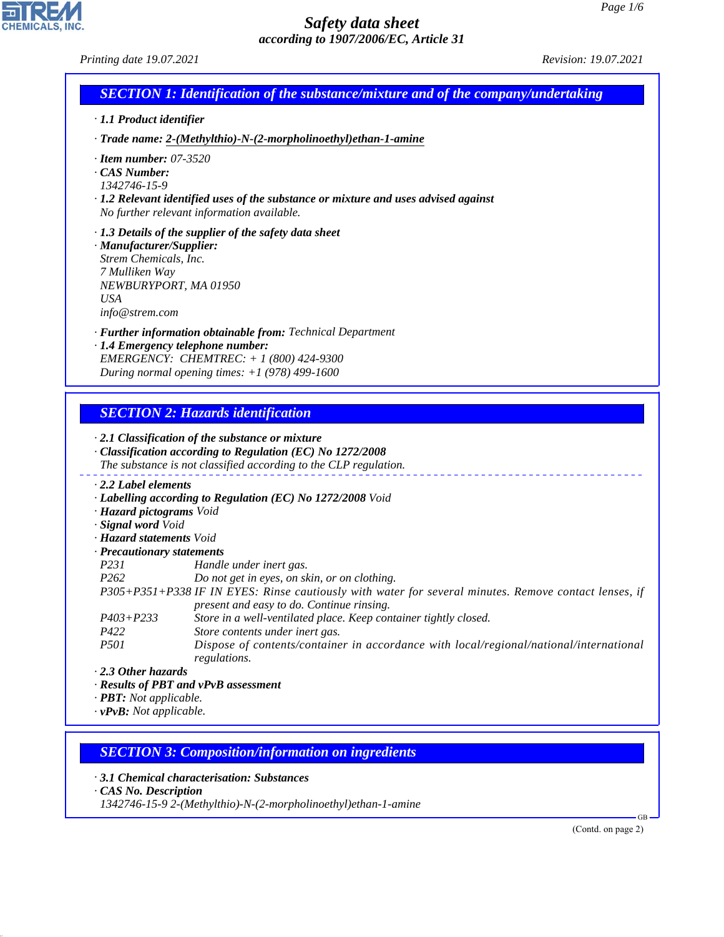피

**CHEMICALS, INC.** 

|                                                                                                     | <b>SECTION 1: Identification of the substance/mixture and of the company/undertaking</b>                                                                                                            |  |
|-----------------------------------------------------------------------------------------------------|-----------------------------------------------------------------------------------------------------------------------------------------------------------------------------------------------------|--|
| $\cdot$ 1.1 Product identifier                                                                      |                                                                                                                                                                                                     |  |
|                                                                                                     | · Trade name: 2-(Methylthio)-N-(2-morpholinoethyl) ethan-1-amine                                                                                                                                    |  |
| $\cdot$ Item number: 07-3520<br>· CAS Number:<br>1342746-15-9                                       | $\cdot$ 1.2 Relevant identified uses of the substance or mixture and uses advised against<br>No further relevant information available.                                                             |  |
| · Manufacturer/Supplier:<br>Strem Chemicals, Inc.<br>7 Mulliken Way<br><b>USA</b><br>info@strem.com | $\cdot$ 1.3 Details of the supplier of the safety data sheet<br>NEWBURYPORT, MA 01950                                                                                                               |  |
|                                                                                                     | · Further information obtainable from: Technical Department<br>· 1.4 Emergency telephone number:<br>EMERGENCY: CHEMTREC: $+ 1 (800) 424 - 9300$<br>During normal opening times: $+1$ (978) 499-1600 |  |
|                                                                                                     |                                                                                                                                                                                                     |  |
|                                                                                                     | <b>SECTION 2: Hazards identification</b>                                                                                                                                                            |  |
|                                                                                                     | $\cdot$ 2.1 Classification of the substance or mixture<br>· Classification according to Regulation (EC) No 1272/2008<br>The substance is not classified according to the CLP regulation.            |  |
| $\cdot$ 2.2 Label elements                                                                          |                                                                                                                                                                                                     |  |
|                                                                                                     | · Labelling according to Regulation (EC) No 1272/2008 Void                                                                                                                                          |  |
| · Hazard pictograms Void                                                                            |                                                                                                                                                                                                     |  |
| · Signal word Void<br>· Hazard statements Void                                                      |                                                                                                                                                                                                     |  |
| · Precautionary statements                                                                          |                                                                                                                                                                                                     |  |
| P231                                                                                                | Handle under inert gas.                                                                                                                                                                             |  |
| P <sub>262</sub>                                                                                    | Do not get in eyes, on skin, or on clothing.                                                                                                                                                        |  |
|                                                                                                     | P305+P351+P338 IF IN EYES: Rinse cautiously with water for several minutes. Remove contact lenses, if                                                                                               |  |
|                                                                                                     | present and easy to do. Continue rinsing.                                                                                                                                                           |  |
| $P403 + P233$                                                                                       | Store in a well-ventilated place. Keep container tightly closed.                                                                                                                                    |  |
| P422                                                                                                | Store contents under inert gas.                                                                                                                                                                     |  |
|                                                                                                     | Dispose of contents/container in accordance with local/regional/national/international<br>regulations.                                                                                              |  |
| <i>P501</i>                                                                                         |                                                                                                                                                                                                     |  |
| $\cdot$ 2.3 Other hazards                                                                           |                                                                                                                                                                                                     |  |
|                                                                                                     | · Results of PBT and vPvB assessment                                                                                                                                                                |  |
| $\cdot$ <b>PBT:</b> Not applicable.<br>$\cdot v$ PvB: Not applicable.                               |                                                                                                                                                                                                     |  |

*· 3.1 Chemical characterisation: Substances*

*· CAS No. Description*

44.1.1

*1342746-15-9 2-(Methylthio)-N-(2-morpholinoethyl)ethan-1-amine*

(Contd. on page 2)

GB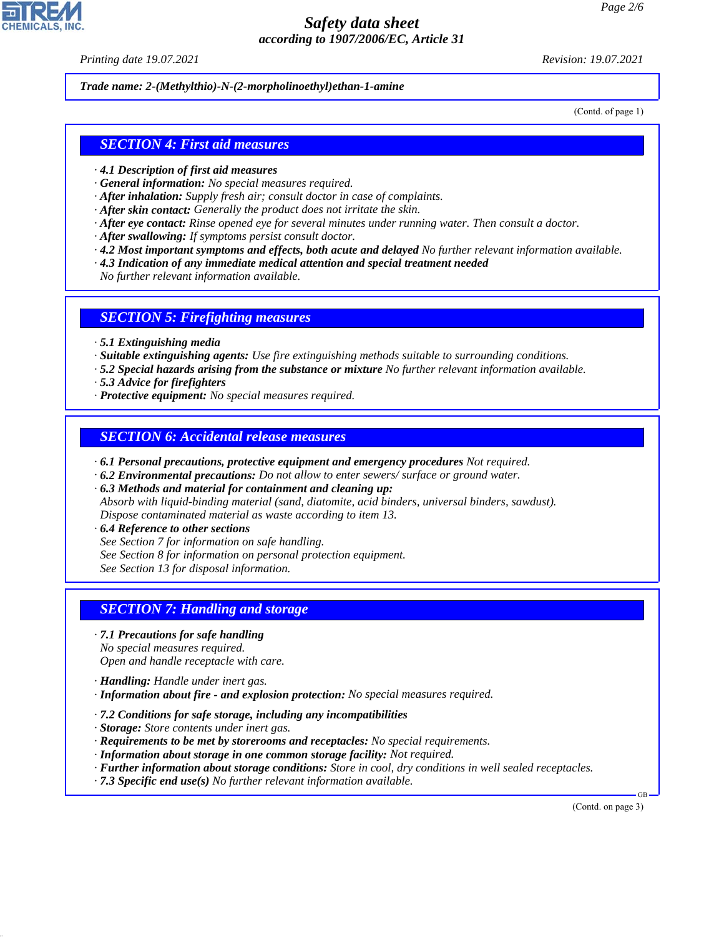*Printing date 19.07.2021 Revision: 19.07.2021*

*Trade name: 2-(Methylthio)-N-(2-morpholinoethyl)ethan-1-amine*

(Contd. of page 1)

#### *SECTION 4: First aid measures*

- *· 4.1 Description of first aid measures*
- *· General information: No special measures required.*
- *· After inhalation: Supply fresh air; consult doctor in case of complaints.*
- *· After skin contact: Generally the product does not irritate the skin.*
- *· After eye contact: Rinse opened eye for several minutes under running water. Then consult a doctor.*
- *· After swallowing: If symptoms persist consult doctor.*
- *· 4.2 Most important symptoms and effects, both acute and delayed No further relevant information available.*
- *· 4.3 Indication of any immediate medical attention and special treatment needed*

*No further relevant information available.*

#### *SECTION 5: Firefighting measures*

- *· 5.1 Extinguishing media*
- *· Suitable extinguishing agents: Use fire extinguishing methods suitable to surrounding conditions.*
- *· 5.2 Special hazards arising from the substance or mixture No further relevant information available.*
- *· 5.3 Advice for firefighters*
- *· Protective equipment: No special measures required.*

#### *SECTION 6: Accidental release measures*

- *· 6.1 Personal precautions, protective equipment and emergency procedures Not required.*
- *· 6.2 Environmental precautions: Do not allow to enter sewers/ surface or ground water.*

*· 6.3 Methods and material for containment and cleaning up:*

- *Absorb with liquid-binding material (sand, diatomite, acid binders, universal binders, sawdust). Dispose contaminated material as waste according to item 13.*
- *· 6.4 Reference to other sections*
- *See Section 7 for information on safe handling.*
- *See Section 8 for information on personal protection equipment.*

*See Section 13 for disposal information.*

### *SECTION 7: Handling and storage*

- *· 7.1 Precautions for safe handling*
- *No special measures required.*

*Open and handle receptacle with care.*

- *· Handling: Handle under inert gas.*
- *· Information about fire and explosion protection: No special measures required.*
- *· 7.2 Conditions for safe storage, including any incompatibilities*
- *· Storage: Store contents under inert gas.*
- *· Requirements to be met by storerooms and receptacles: No special requirements.*
- *· Information about storage in one common storage facility: Not required.*
- *· Further information about storage conditions: Store in cool, dry conditions in well sealed receptacles.*
- *· 7.3 Specific end use(s) No further relevant information available.*

(Contd. on page 3)

GB



44.1.1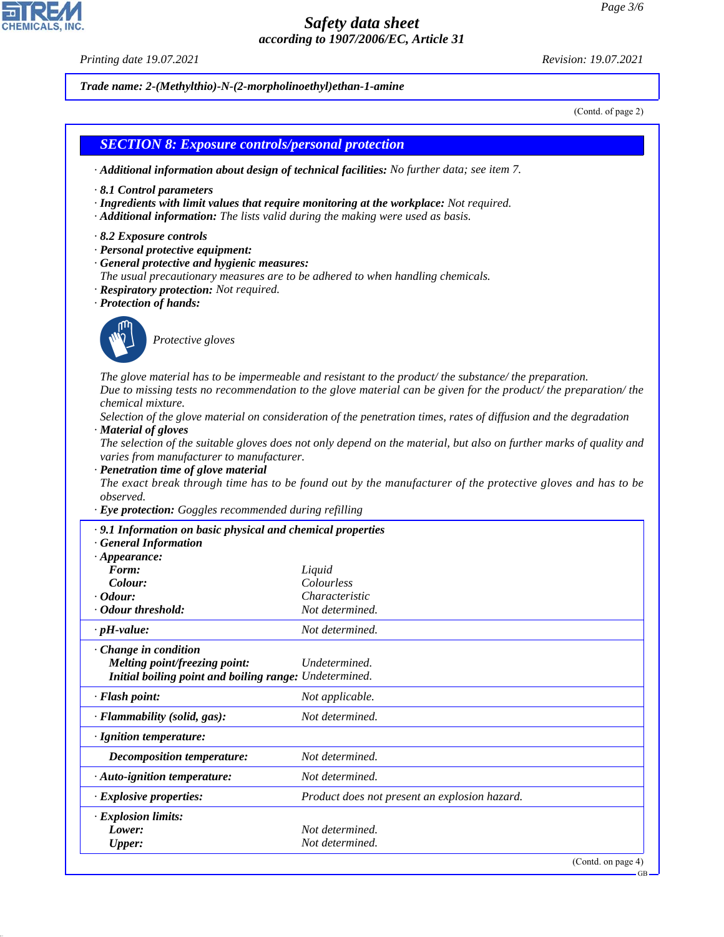*Printing date 19.07.2021 Revision: 19.07.2021*

*Trade name: 2-(Methylthio)-N-(2-morpholinoethyl)ethan-1-amine*

(Contd. of page 2)

|                                                                                                                                                                                                                                                                         | · Additional information about design of technical facilities: No further data; see item 7.                                                                                                                                                                                                                                                                                                                                                                                                                                                                                      |
|-------------------------------------------------------------------------------------------------------------------------------------------------------------------------------------------------------------------------------------------------------------------------|----------------------------------------------------------------------------------------------------------------------------------------------------------------------------------------------------------------------------------------------------------------------------------------------------------------------------------------------------------------------------------------------------------------------------------------------------------------------------------------------------------------------------------------------------------------------------------|
| $\cdot$ 8.1 Control parameters<br>· Additional information: The lists valid during the making were used as basis.                                                                                                                                                       | · Ingredients with limit values that require monitoring at the workplace: Not required.                                                                                                                                                                                                                                                                                                                                                                                                                                                                                          |
| $\cdot$ 8.2 Exposure controls<br>· Personal protective equipment:<br>· General protective and hygienic measures:<br>The usual precautionary measures are to be adhered to when handling chemicals.<br>· Respiratory protection: Not required.<br>· Protection of hands: |                                                                                                                                                                                                                                                                                                                                                                                                                                                                                                                                                                                  |
| Protective gloves                                                                                                                                                                                                                                                       |                                                                                                                                                                                                                                                                                                                                                                                                                                                                                                                                                                                  |
| chemical mixture.<br>· Material of gloves<br>varies from manufacturer to manufacturer.<br>· Penetration time of glove material<br>observed.<br>· Eye protection: Goggles recommended during refilling                                                                   | The glove material has to be impermeable and resistant to the product/the substance/the preparation.<br>Due to missing tests no recommendation to the glove material can be given for the product/the preparation/the<br>Selection of the glove material on consideration of the penetration times, rates of diffusion and the degradation<br>The selection of the suitable gloves does not only depend on the material, but also on further marks of quality and<br>The exact break through time has to be found out by the manufacturer of the protective gloves and has to be |
|                                                                                                                                                                                                                                                                         |                                                                                                                                                                                                                                                                                                                                                                                                                                                                                                                                                                                  |
| · 9.1 Information on basic physical and chemical properties<br><b>General Information</b><br>$\cdot$ Appearance:<br>Form:<br>Colour:<br><i>Cdour:</i>                                                                                                                   | Liquid<br>Colourless<br>Characteristic                                                                                                                                                                                                                                                                                                                                                                                                                                                                                                                                           |
| · Odour threshold:                                                                                                                                                                                                                                                      | Not determined.                                                                                                                                                                                                                                                                                                                                                                                                                                                                                                                                                                  |
| $\cdot$ pH-value:<br>Change in condition                                                                                                                                                                                                                                | Not determined.                                                                                                                                                                                                                                                                                                                                                                                                                                                                                                                                                                  |
| <b>Melting point/freezing point:</b><br>Initial boiling point and boiling range: Undetermined.                                                                                                                                                                          | Undetermined.                                                                                                                                                                                                                                                                                                                                                                                                                                                                                                                                                                    |
| · Flash point:                                                                                                                                                                                                                                                          | Not applicable.                                                                                                                                                                                                                                                                                                                                                                                                                                                                                                                                                                  |
| · Flammability (solid, gas):                                                                                                                                                                                                                                            | Not determined.                                                                                                                                                                                                                                                                                                                                                                                                                                                                                                                                                                  |
|                                                                                                                                                                                                                                                                         |                                                                                                                                                                                                                                                                                                                                                                                                                                                                                                                                                                                  |
| · Ignition temperature:                                                                                                                                                                                                                                                 |                                                                                                                                                                                                                                                                                                                                                                                                                                                                                                                                                                                  |
| <b>Decomposition temperature:</b>                                                                                                                                                                                                                                       | Not determined.                                                                                                                                                                                                                                                                                                                                                                                                                                                                                                                                                                  |
| · Auto-ignition temperature:                                                                                                                                                                                                                                            | Not determined.                                                                                                                                                                                                                                                                                                                                                                                                                                                                                                                                                                  |
| · Explosive properties:                                                                                                                                                                                                                                                 | Product does not present an explosion hazard.                                                                                                                                                                                                                                                                                                                                                                                                                                                                                                                                    |
| · Explosion limits:<br>Lower:<br><b>Upper:</b>                                                                                                                                                                                                                          | Not determined.<br>Not determined.                                                                                                                                                                                                                                                                                                                                                                                                                                                                                                                                               |



44.1.1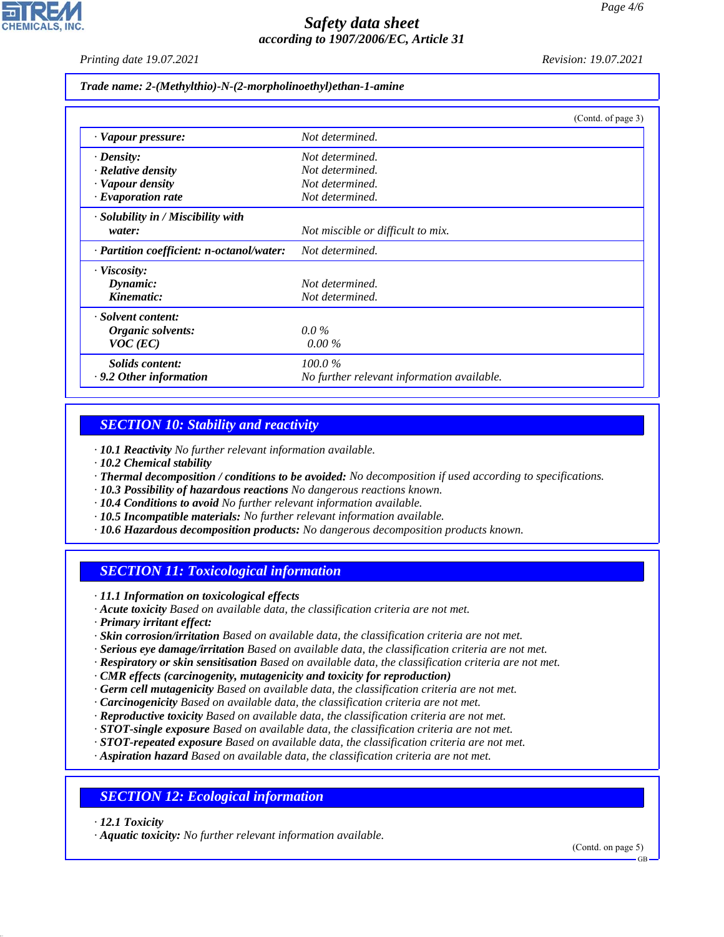*Printing date 19.07.2021 Revision: 19.07.2021*

*Trade name: 2-(Methylthio)-N-(2-morpholinoethyl)ethan-1-amine*

|                                           | (Contd. of page 3)                         |
|-------------------------------------------|--------------------------------------------|
| · Vapour pressure:                        | Not determined.                            |
| $\cdot$ Density:                          | Not determined.                            |
| · Relative density                        | Not determined.                            |
| · Vapour density                          | Not determined.                            |
| $\cdot$ Evaporation rate                  | Not determined.                            |
| $\cdot$ Solubility in / Miscibility with  |                                            |
| water:                                    | Not miscible or difficult to mix.          |
| · Partition coefficient: n-octanol/water: | Not determined.                            |
| $\cdot$ Viscosity:                        |                                            |
| Dynamic:                                  | Not determined.                            |
| Kinematic:                                | Not determined.                            |
| · Solvent content:                        |                                            |
| Organic solvents:                         | $0.0\%$                                    |
| $VOC$ (EC)                                | $0.00\%$                                   |
| Solids content:                           | 100.0%                                     |
| $\cdot$ 9.2 Other information             | No further relevant information available. |

### *SECTION 10: Stability and reactivity*

*· 10.1 Reactivity No further relevant information available.*

- *· 10.2 Chemical stability*
- *· Thermal decomposition / conditions to be avoided: No decomposition if used according to specifications.*
- *· 10.3 Possibility of hazardous reactions No dangerous reactions known.*
- *· 10.4 Conditions to avoid No further relevant information available.*
- *· 10.5 Incompatible materials: No further relevant information available.*
- *· 10.6 Hazardous decomposition products: No dangerous decomposition products known.*

### *SECTION 11: Toxicological information*

*· 11.1 Information on toxicological effects*

- *· Acute toxicity Based on available data, the classification criteria are not met.*
- *· Primary irritant effect:*
- *· Skin corrosion/irritation Based on available data, the classification criteria are not met.*
- *· Serious eye damage/irritation Based on available data, the classification criteria are not met.*
- *· Respiratory or skin sensitisation Based on available data, the classification criteria are not met.*
- *· CMR effects (carcinogenity, mutagenicity and toxicity for reproduction)*
- *· Germ cell mutagenicity Based on available data, the classification criteria are not met.*
- *· Carcinogenicity Based on available data, the classification criteria are not met.*
- *· Reproductive toxicity Based on available data, the classification criteria are not met.*
- *· STOT-single exposure Based on available data, the classification criteria are not met.*
- *· STOT-repeated exposure Based on available data, the classification criteria are not met.*
- *· Aspiration hazard Based on available data, the classification criteria are not met.*

#### *SECTION 12: Ecological information*

*· 12.1 Toxicity*

44.1.1

*· Aquatic toxicity: No further relevant information available.*

(Contd. on page 5)

GB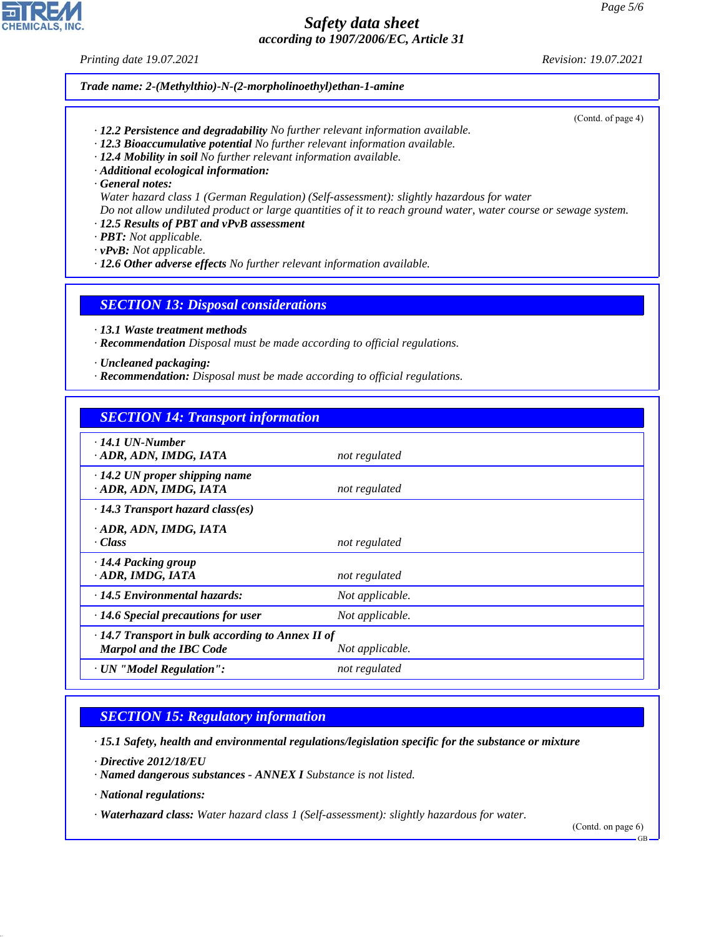*Printing date 19.07.2021 Revision: 19.07.2021*

#### *Trade name: 2-(Methylthio)-N-(2-morpholinoethyl)ethan-1-amine*

(Contd. of page 4)

- *· 12.2 Persistence and degradability No further relevant information available.*
- *· 12.3 Bioaccumulative potential No further relevant information available.*
- *· 12.4 Mobility in soil No further relevant information available.*
- *· Additional ecological information:*
- *· General notes:*

*Water hazard class 1 (German Regulation) (Self-assessment): slightly hazardous for water Do not allow undiluted product or large quantities of it to reach ground water, water course or sewage system.*

- *· 12.5 Results of PBT and vPvB assessment*
- *· PBT: Not applicable.*

*· vPvB: Not applicable.*

*· 12.6 Other adverse effects No further relevant information available.*

#### *SECTION 13: Disposal considerations*

- *· 13.1 Waste treatment methods*
- *· Recommendation Disposal must be made according to official regulations.*
- *· Uncleaned packaging:*
- *· Recommendation: Disposal must be made according to official regulations.*

# *SECTION 14: Transport information*

| $\cdot$ 14.1 UN-Number<br>ADR, ADN, IMDG, IATA                                                               | not regulated   |  |  |
|--------------------------------------------------------------------------------------------------------------|-----------------|--|--|
| $\cdot$ 14.2 UN proper shipping name<br>· ADR, ADN, IMDG, IATA                                               | not regulated   |  |  |
| $\cdot$ 14.3 Transport hazard class(es)                                                                      |                 |  |  |
| · ADR, ADN, IMDG, IATA<br>· Class                                                                            | not regulated   |  |  |
| · 14.4 Packing group<br>· ADR, IMDG, IATA                                                                    | not regulated   |  |  |
| $\cdot$ 14.5 Environmental hazards:                                                                          | Not applicable. |  |  |
| $\cdot$ 14.6 Special precautions for user                                                                    | Not applicable. |  |  |
| $\cdot$ 14.7 Transport in bulk according to Annex II of<br><b>Marpol and the IBC Code</b><br>Not applicable. |                 |  |  |
| · UN "Model Regulation":                                                                                     | not regulated   |  |  |

# *SECTION 15: Regulatory information*

*· 15.1 Safety, health and environmental regulations/legislation specific for the substance or mixture*

*· Directive 2012/18/EU*

- *· Named dangerous substances ANNEX I Substance is not listed.*
- *· National regulations:*

44.1.1

*· Waterhazard class: Water hazard class 1 (Self-assessment): slightly hazardous for water.*

(Contd. on page 6)

GB